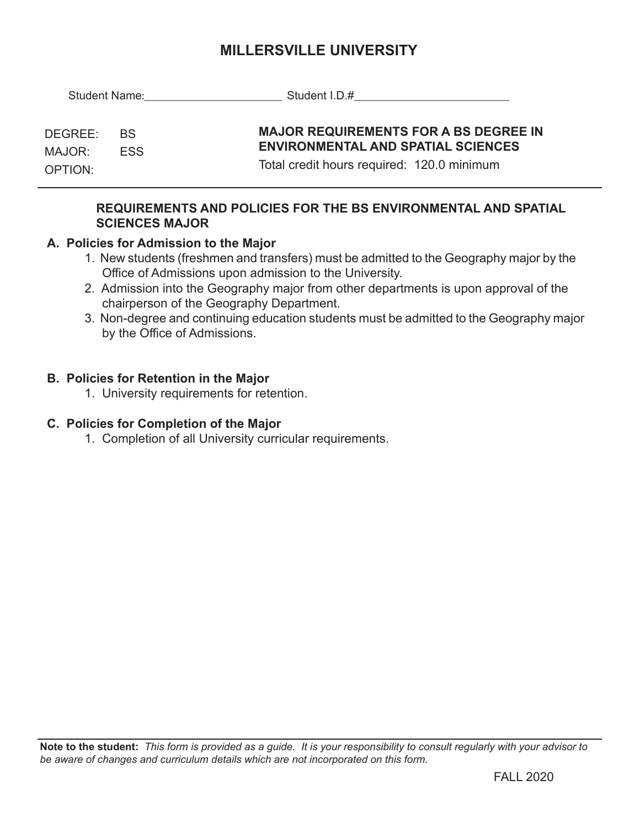# **MILLERSVILLE UNIVERSITY**

| Student Name: <u>________________</u> |                         | Student I.D.# Contract Department I.D. All Contract Department I.D. All Contract Department I.D. All Contract D                         |
|---------------------------------------|-------------------------|-----------------------------------------------------------------------------------------------------------------------------------------|
| DEGREE:<br>MAJOR:<br>OPTION:          | <b>BS</b><br><b>FSS</b> | <b>MAJOR REQUIREMENTS FOR A BS DEGREE IN</b><br><b>ENVIRONMENTAL AND SPATIAL SCIENCES</b><br>Total credit hours required: 120.0 minimum |
|                                       |                         |                                                                                                                                         |

## **REQUIREMENTS AND POLICIES FOR THE BS ENVIRONMENTAL AND SPATIAL SCIENCES MAJOR**

# **A. Policies for Admission to the Major**

- 1. New students (freshmen and transfers) must be admitted to the Geography major by the Office of Admissions upon admission to the University.
- 2. Admission into the Geography major from other departments is upon approval of the chairperson of the Geography Department.
- 3. Non-degree and continuing education students must be admitted to the Geography major by the Office of Admissions.

### **B. Policies for Retention in the Major**

1. University requirements for retention.

#### **C. Policies for Completion of the Major**

1. Completion of all University curricular requirements.